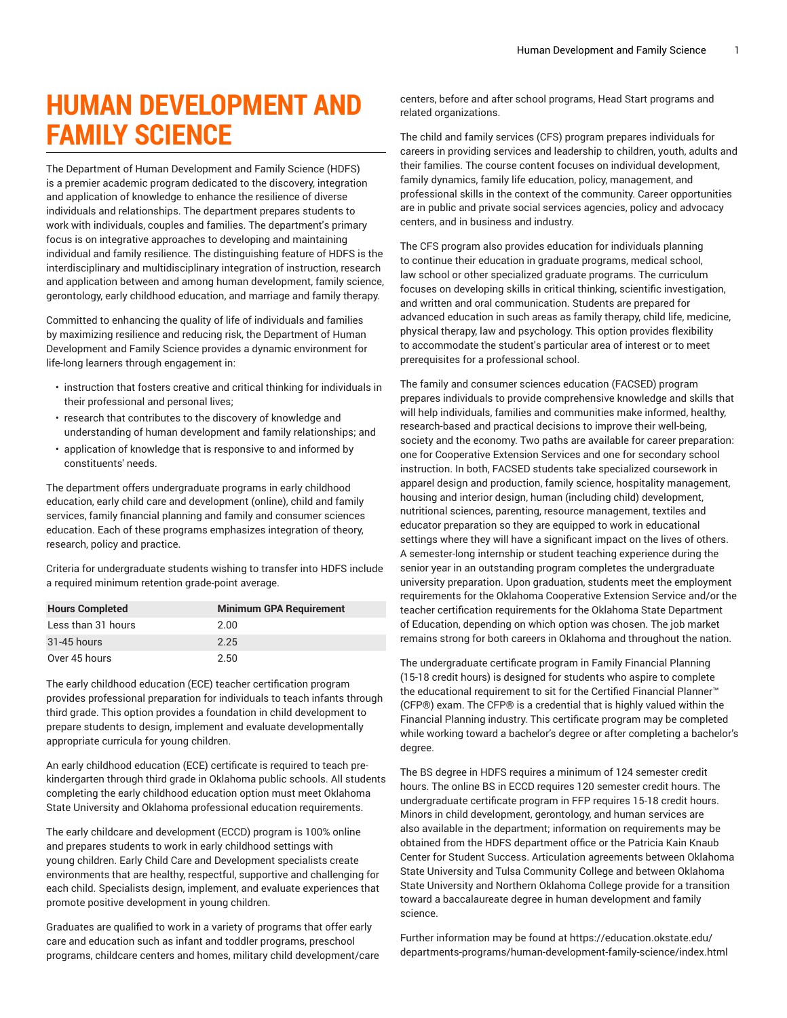## **HUMAN DEVELOPMENT AND FAMILY SCIENCE**

The Department of Human Development and Family Science (HDFS) is a premier academic program dedicated to the discovery, integration and application of knowledge to enhance the resilience of diverse individuals and relationships. The department prepares students to work with individuals, couples and families. The department's primary focus is on integrative approaches to developing and maintaining individual and family resilience. The distinguishing feature of HDFS is the interdisciplinary and multidisciplinary integration of instruction, research and application between and among human development, family science, gerontology, early childhood education, and marriage and family therapy.

Committed to enhancing the quality of life of individuals and families by maximizing resilience and reducing risk, the Department of Human Development and Family Science provides a dynamic environment for life-long learners through engagement in:

- instruction that fosters creative and critical thinking for individuals in their professional and personal lives;
- research that contributes to the discovery of knowledge and understanding of human development and family relationships; and
- application of knowledge that is responsive to and informed by constituents' needs.

The department offers undergraduate programs in early childhood education, early child care and development (online), child and family services, family financial planning and family and consumer sciences education. Each of these programs emphasizes integration of theory, research, policy and practice.

Criteria for undergraduate students wishing to transfer into HDFS include a required minimum retention grade-point average.

| <b>Hours Completed</b> | <b>Minimum GPA Requirement</b> |
|------------------------|--------------------------------|
| Less than 31 hours     | 2.00                           |
| $31 - 45$ hours        | 2.25                           |
| Over 45 hours          | 2.50                           |

The early childhood education (ECE) teacher certification program provides professional preparation for individuals to teach infants through third grade. This option provides a foundation in child development to prepare students to design, implement and evaluate developmentally appropriate curricula for young children.

An early childhood education (ECE) certificate is required to teach prekindergarten through third grade in Oklahoma public schools. All students completing the early childhood education option must meet Oklahoma State University and Oklahoma professional education requirements.

The early childcare and development (ECCD) program is 100% online and prepares students to work in early childhood settings with young children. Early Child Care and Development specialists create environments that are healthy, respectful, supportive and challenging for each child. Specialists design, implement, and evaluate experiences that promote positive development in young children.

Graduates are qualified to work in a variety of programs that offer early care and education such as infant and toddler programs, preschool programs, childcare centers and homes, military child development/care

centers, before and after school programs, Head Start programs and related organizations.

The child and family services (CFS) program prepares individuals for careers in providing services and leadership to children, youth, adults and their families. The course content focuses on individual development, family dynamics, family life education, policy, management, and professional skills in the context of the community. Career opportunities are in public and private social services agencies, policy and advocacy centers, and in business and industry.

The CFS program also provides education for individuals planning to continue their education in graduate programs, medical school, law school or other specialized graduate programs. The curriculum focuses on developing skills in critical thinking, scientific investigation, and written and oral communication. Students are prepared for advanced education in such areas as family therapy, child life, medicine, physical therapy, law and psychology. This option provides flexibility to accommodate the student's particular area of interest or to meet prerequisites for a professional school.

The family and consumer sciences education (FACSED) program prepares individuals to provide comprehensive knowledge and skills that will help individuals, families and communities make informed, healthy, research-based and practical decisions to improve their well-being, society and the economy. Two paths are available for career preparation: one for Cooperative Extension Services and one for secondary school instruction. In both, FACSED students take specialized coursework in apparel design and production, family science, hospitality management, housing and interior design, human (including child) development, nutritional sciences, parenting, resource management, textiles and educator preparation so they are equipped to work in educational settings where they will have a significant impact on the lives of others. A semester-long internship or student teaching experience during the senior year in an outstanding program completes the undergraduate university preparation. Upon graduation, students meet the employment requirements for the Oklahoma Cooperative Extension Service and/or the teacher certification requirements for the Oklahoma State Department of Education, depending on which option was chosen. The job market remains strong for both careers in Oklahoma and throughout the nation.

The undergraduate certificate program in Family Financial Planning (15-18 credit hours) is designed for students who aspire to complete the educational requirement to sit for the Certified Financial Planner™ (CFP®) exam. The CFP® is a credential that is highly valued within the Financial Planning industry. This certificate program may be completed while working toward a bachelor's degree or after completing a bachelor's degree.

The BS degree in HDFS requires a minimum of 124 semester credit hours. The online BS in ECCD requires 120 semester credit hours. The undergraduate certificate program in FFP requires 15-18 credit hours. Minors in child development, gerontology, and human services are also available in the department; information on requirements may be obtained from the HDFS department office or the Patricia Kain Knaub Center for Student Success. Articulation agreements between Oklahoma State University and Tulsa Community College and between Oklahoma State University and Northern Oklahoma College provide for a transition toward a baccalaureate degree in human development and family science.

Further information may be found at [https://education.okstate.edu/](https://education.okstate.edu/departments-programs/human-development-family-science/) [departments-programs/human-development-family-science/index.html](https://education.okstate.edu/departments-programs/human-development-family-science/)